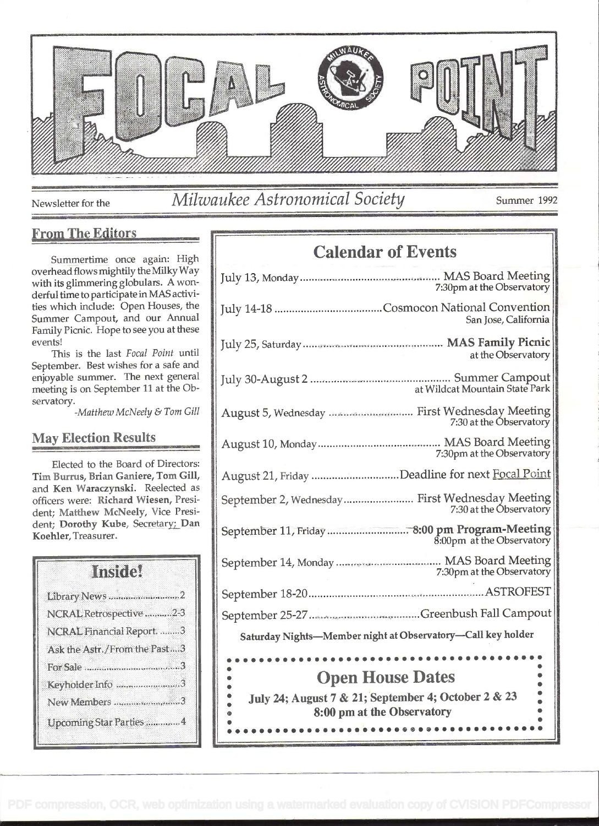

### Newsletter for the *Milwaukee Astronomical Society* Summer 1992

e

### From The Editors

Summertime once again: High overhead flows mightily the Milky Way with its glimmering globulars. A wonderful time to participate in MAS activities which include: Open Houses, the Summer Campout, and our Annual Family Picnic. Hope to see you at these events!

This is the last Focal Point until September. Best wishes for a safe and enjoyable summer. The next general meeting is on September 11 at the Observatory.

-Matthew McNeely & Tom Gill

#### May Election Results

Elected to the Board of Directors: Tim Burrus, Brian Ganiere, Tom Gill, and Ken Waraczynski. Reelected as officers were: Richard Wiesen, President; Matthew McNeely, Vice President; Dorothy Kuhe, Secretary; Dan Koehier, Treasurer.

## Inside! Library News .................................2 NCRAL Retrospective ............ 2-3 NCRAL Financial Report ......... <sup>3</sup> Ask the Astr./From the Past ....3 ForSale .......................................... 3 Keyholder Info ..............................3 New Members ..............................3 UpcomingStar Parties .............. 4

### Calendar of Events

| 7:30pm at the Observatory                                                                   |  |
|---------------------------------------------------------------------------------------------|--|
| San Jose, California                                                                        |  |
| at the Observatory                                                                          |  |
| at Wildcat Mountain State Park                                                              |  |
| August 5, Wednesday  First Wednesday Meeting<br>7:30 at the Observatory                     |  |
| 7:30pm at the Observatory                                                                   |  |
| August 21, Friday Deadline for next Focal Point                                             |  |
| September 2, Wednesday First Wednesday Meeting<br>7:30 at the Observatory                   |  |
| September 11, Friday  8:00 pm Program-Meeting<br>8:00pm at the Observatory                  |  |
| 7:30pm at the Observatory                                                                   |  |
|                                                                                             |  |
|                                                                                             |  |
| Saturday Nights-Member night at Observatory-Call key holder                                 |  |
| <b>Open House Dates</b><br>$\bullet$<br>July 24; August 7 & 21; September 4; October 2 & 23 |  |
| 8:00 pm at the Observatory                                                                  |  |

<sup>e</sup>e eee . <sup>e</sup>e. <sup>e</sup>s e... ....e...e... e e e.........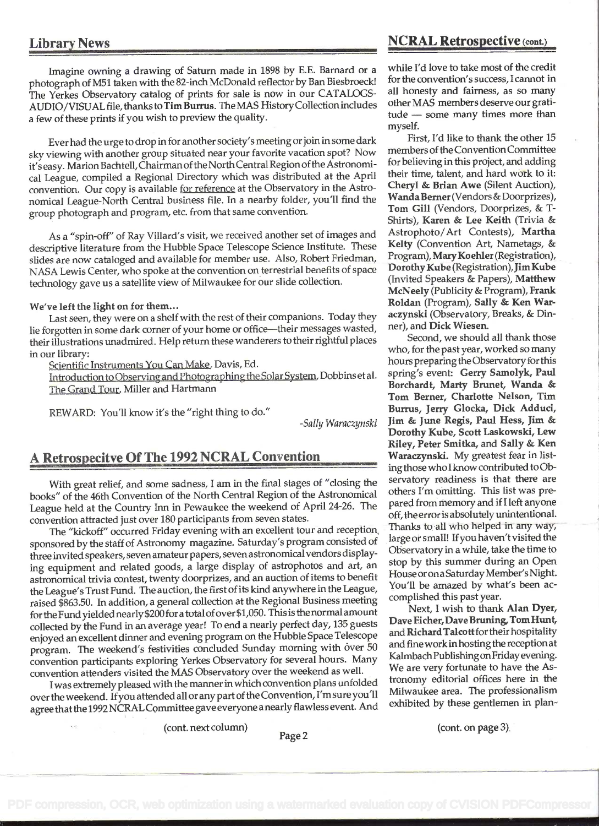Imagine owning a drawing of Saturn made in 1898 by E.E. Barnard or a photograph of M51 taken with the 82-inch McDonald reflector by Ban Biesbroeck! The Yerkes Observatory catalog of prints for sale is now in our CATALOGS-AUDIO/VISUAL file, thanks to Tim Burrus. The MAS History Collection includes other MAS members deserve our grati-<br>a four of these prints if you wish to preview the quality tures ture ture wish to be exame many times more t a few of these prints if you wish to preview the quality.

Ever had the urge to drop in for another society's meeting orjoin in some dark sky viewing with another group situated near your favorite vacation spot? Now it's easy. Marion Bachtell, Chairman of the North Central Region of the Astronomical League, compiled a Regional Directory which was distributed at the April convention. Our copy is available for reference at the Observatory in the Astronomical League-North Central business file. In a nearby folder, you'll find the group photograph and program, etc. from that same convention.

As a "spin-off" of Ray Villard's visit, we received another set of images and descriptive literature from the Hubble Space Telescope Science Institute. These slides are now cataloged and available for member use. Also, Robert Friedman, NASA Lewis Center, who spoke at the convention on terrestrial benefits of space technology gave us a satellite view of Milwaukee for our slide collection.

#### We've left the light on for them...

Last seen, they were on a shelf with the rest of their companions. Today they lie forgotten in some dark corner of your home or office-their messages wasted, their illustrations unadmired. Help return these wanderers to their rightful places in our library:

Scientific Instruments You Can Make, Davis, Ed.

Introduction to Observing and Photographing the Solar System, Dobbins et al. The Grand Tour. Miller and Hartmann

REWARD: You'll know it's the "right thing to do."

-Sally Waraczynski

### A Retrospecitve Of The 1992 NCRAL Convention

With great relief, and some sadness, I am in the final stages of "closing the books" of the 46th Convention of the North Central Region of the Astronomical League held at the Country Inn in Pewaukee the weekend of April 24-26. The convention attracted just over 180 participants from seven states.

The "kickoff" occurred Friday evening with an excellent tour and reception, sponsored by the staff of Astronomy magazine. Saturday's program consisted of three invited speakers, seven amateur papers, seven astronomical vendors displaying equipment and related goods, a large display of astrophotos and art, an astronomical trivia contest, twenty doorprizes, and an auction of items to benefit the League's Trust Fund. The auction, the first of its kind anywhere in the League, raised \$863.50. In addition, a general collection at the Regional Business meeting for the Fund yielded nearly \$200 for a total of over \$1,050. This is the normal amount collected by the Fund in an average year! To end a nearly perfect day, 135 guests enjoyed an excellent dinner and evening program on the Hubble Space Telescope program. The weekend's festivities concluded Sunday morning with over 50 convention participants exploring Yerkes Observatory for several hours. Many convention attenders visited the MAS Observatory over the weekend as well.

<sup>I</sup>was extremely pleased with the manner in which convention plans unfolded over the weekend. If you attended all or any part of the Convention, I'm sure you'll agree that the 1992 NCRALCçmmittee gave everyone anearly flawless event. And

#### Library News NCRAL Retrospective (cont.)

while I'd love to take most of the credit for the convention's success, I cannot in all honesty and fairness, as so many other MAS members deserve our grati-<br>tude — some many times more than myself.

First, I'd like to thank the other 15 members of the Convention Committee for believing in this project, and adding their time, talent, and hard work to it: Cheryl & Brian Awe (Silent Auction), WandaBerner (Vendors & Doorprizes), Tom Gill (Vendors, Doorprizes, & T-Shirts), Karen & Lee Keith (Trivia & Astrophoto/Art Contests), Martha Kelty (Convention Art, Nametags, & Program), MaryKoehler (Registration), Dorothy Kube (Registration), Jim Kube (Invited Speakers & Papers), Matthew McNeely (Publicity & Program), Frank Roldan (Program), Sally & Ken Waraczynski (Observatory, Breaks, & Dinner), and Dick Wiesen.

Second, we should all thank those who, for the past year, worked so many hours preparing the Observatory for this spring's event: Gerry Samolyk, Paul Borchardt, Marty Brunet, Wanda & Tom Berner, Charlotte Nelson, Tim Burrus, Jerry Glocka, Dick Adduci, Jim & June Regis, Paul Hess, Jim & Dorothy Kube, Scott Laskowski, Lew Riley, Peter Smitka, and Sally & Ken Waraczynski. My greatest fear in listing those who I know contributed to Observatory readiness is that there are others I'm omitting. This list was prepared from memory and if I left anyone off, the error is absolutely unintentional. Thanks to all who helped in any way, large or small! Ifyou haven'tvisited the Observatory in a while, take the time to stop by this summer during an Open House or on a Saturday Member's Night. You'll be amazed by what's been accomplished this past year.

Next, I wish to thank Alan Dyer, Dave Eicher, Dave Bruning, Tom Hunt, and Richard Talcott for their hospitality and fine work in hosting the reception at Kaimbach Publishing on Friday evening. We are very fortunate to have the Astronomy editorial offices here in the Milwaukee area. The professionalism exhibited by these gentlemen in plan-

(cont. next column) (cont. on page 3).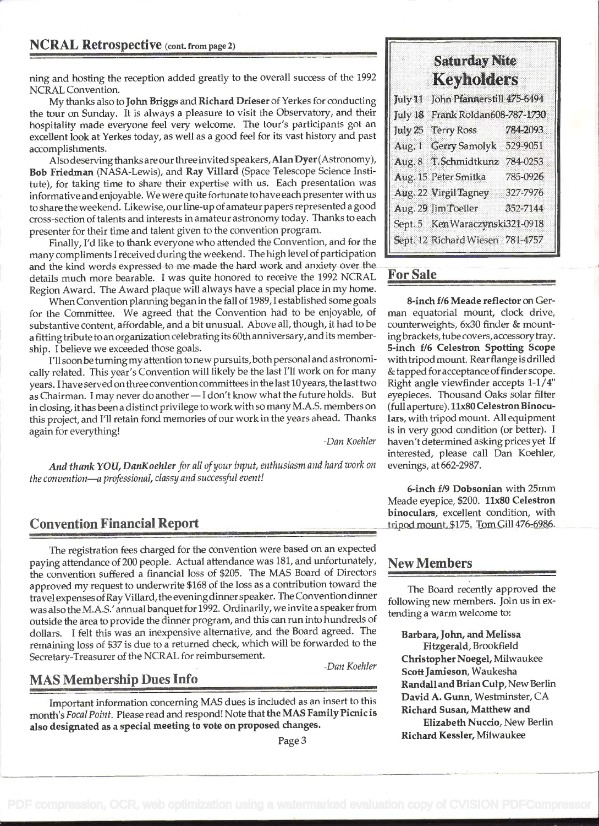#### NCRAL Retrospective (cont. from page 2)

ning and hosting the reception added greatly to the overall success of the 1992 NCRAL Convention.

My thanks also to John Briggs and Richard Drieser of Yerkes for conducting the tour on Sunday. It is always a pleasure to visit the Observatory, and their hospitality made everyone feel very welcome. The tour's participants got an excellent look at Yerkes today, as well as a good feel for its vast history and past accomplishments.

Also deserving thanks are our three invited speakers, Alan Dyer (Astronomy), Bob Friedman (NASA-Lewis), and Ray Villard (Space Telescope Science Institute), for taking time to share their expertise with us. Each presentation was informative and enjoyable. We were quite fortunate to have each presenter with us to share the weekend. Likewise, our line-up of amateur papers represented a good cross-section of talents and interests in amateur astronomy today. Thanks to each presenter for their time and talent given to the convention program.

Finally, I'd like to thank everyone who attended the Convention, and for the many compliments I received during the weekend. The high level of participation and the kind words expressed to me made the hard work and anxiety over the details much more bearable. I was quite honored to receive the 1992 NCRAL Region Award. The Award plaque will always have a special place in my home.

When Convention planning began in the fall of 1989, I established some goals for the Committee. We agreed that the Convention had to be enjoyable, of substantive content, affordable, and a bit unusual. Above all, though, it had to be a fitting tribute to an organization celebrating its 60th anniversary, and its membership. I believe we exceeded those goals.

I'll soon be turning my attention to new pursuits, both personal and astronomically related. This year's Convention will likely be the last I'll work on for many years. I have served on three convention committees in the last 10 years, the last two as Chairman. I may never do another - I don't know what the future holds. But in closing, ithas been a distinct privilege to work with so many M.A.S. members on this project, and I'll retain fond memories of our work in the years ahead. Thanks again for everything!

-Dan Koehier

-Dan Koehler

And thank YOU, DanKoehler for all of your input, enthusiasm and hard work on the convention-a professional, classy and successful event!

### Convention Financial Report

The registration fees charged for the convention were based on an expected paying attendance of 200 people. Actual attendance was 181, and unfortunately, the convention suffered a financial loss of \$205. The MAS Board of Directors approved my request to underwrite \$168 of the loss as a contribution toward the travel expenses ofRay Villard, the evening dinner speaker. The Convention dinner was also the M.A.S.' annual banquet for 1992. Ordinarily, we invite a speaker from outside the area to provide the dinner program, and this can run into hundreds of dollars. I felt this was an inexpensive alternative, and the Board agreed. The remaining loss of \$37 is due to a returned check, which will be forwarded to the Secretary-Treasurer of the NCRAL for reimbursement.

### MAS Membership Dues Info

Important information concerning MAS dues is included as an insert to this month's Focal Point. Please read and respond! Note that the MAS Family Picnic is also designated as a special meeting to vote on proposed changes.

### Saturday Nite Keyholders

| July 11 John Pfannerstill 475-6494 |          |
|------------------------------------|----------|
| July 18 Frank Roldan608-787-1730   |          |
| July 25 Terry Ross                 | 784-2093 |
| Aug. 1 Gerry Samolyk               | 529-9051 |
| Aug. 8 T. Schmidtkunz              | 784-0253 |
| Aug. 15 Peter Smitka               | 785-0926 |
| Aug. 22 Virgil Tagney              | 327-7976 |
| Aug. 29 Jim Toeller                | 352-7144 |
| Sept. 5 Ken Waraczynski321-0918    |          |
| Sept. 12 Richard Wiesen 781-4757   |          |

### For Sale

8-inch f/6 Meade reflector on German equatorial mount, clock drive, counterweights, 6x30 finder & mountingbrackets, tube covers, accessorytray. 5-inch f/6 Celestron Spotting Scope with tripod mount. Rear flange is drilled & tapped for acceptance offinder scope. Right angle viewfinder accepts 1-1/4" eyepieces. Thousand Oaks solar filter (full aperture). 11x80 Celestron Binoculars, with tripod mount. All equipment is in very good condition (or better). <sup>I</sup> haven't determined asking prices yet If interested, please call Dan Koehler, evenings, at 662-2987.

6-inch f/9 Dobsonian with 25mm Meade eyepice, \$200. 11x80 Celestron binoculars, excellent condition, with tripod mount, \$175. Tom Gill 476-6986.

#### New Members

The Board recently approved the following new members. Join us in extending a warm welcome to:

Barbara, John, and Melissa Fitzgerald, Brookfield Christopher Noegel, Milwaukee Scott Jamieson, Waukesha Randall and Brian Cuip, New Berlin David A. Gunn, Westminster, CA Richard Susan, Matthew and Elizabeth Nuccio, New Berlin

Richard Kessler, Milwaukee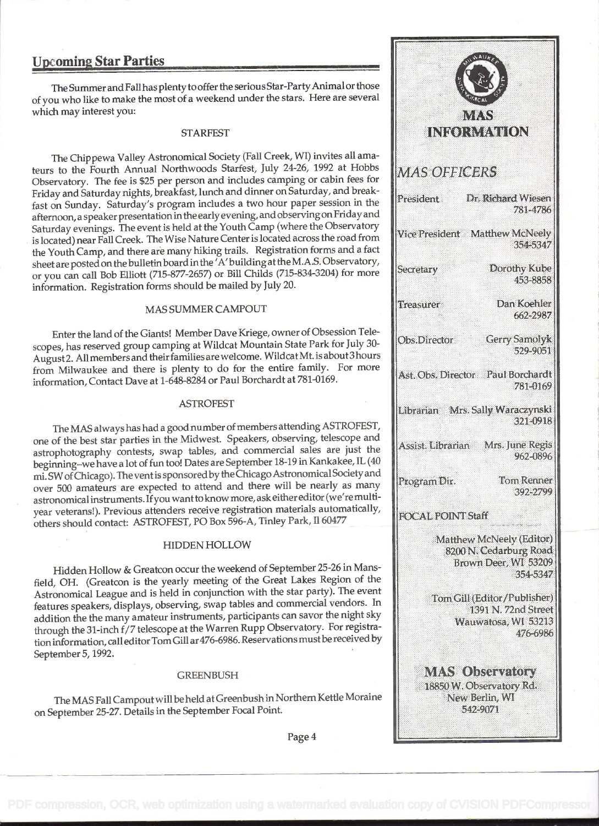#### Upcoming Star Parties

The Summer and Fall has plenty to offer the serious Star-Party Animal or those of you who like to make the most of a weekend under the stars. Here are several which may interest you:

#### STARFEST

The Chippewa Valley Astronomical Society (Fall Creek, WI) invites all amateurs to the Fourth Annual Northwoods Starfest, July 24-26, 1992 at Hobbs MAS OFFICERS Observatory. The fee is \$25 per person and includes camping or cabin fees for Friday and Saturday nights, breakfast, lunch and dinner on Saturday, and breakfinday and saturday highls, breaking, functional diffuse of session in the **President** afternoon, a speaker presentation in theearlyevening, and observingon Friday and Saturday evenings. The event is held at the Youth Camp (where the Observatory Vice President Matthew McNeely is located) near Fall Creek. The Wise Nature Center is located across the road from the Youth Camp, and there are many hiking trails. Registration forms and a fact sheet are posted on the bulletin board in the 'A' building at the M.A.S. Observatory, or you can call Bob Elliott (715-877-2657) or Bill Childs (715-834-3204) for more information. Registration forms should be mailed by July 20.

#### MAS SUMMER CAMPOUT

Enter the land of the Giants! Member Dave Kriege, owner of Obsession Telescopes, has reserved group camping at Wildcat Mountain State Park for July 30-August2. All members and their families are welcome. WildcatMt. is about3 hours from Milwaukee and there is plenty to do for the entire family. For more set to be Director Paul Borchardt information, Contact Dave at 1-648-8284 or Paul Borchardt at 781-0169.

#### ASTROFEST

The MAS always has had a good number of members attending ASTROFEST, one of the best star parties in the Midwest. Speakers, observing, telescope and astrophotography contests, swap tables, and commercial sales are just the beginning-we have a lot of fun too! Dates are September 18-19 in Kankakee, IL (40 mi. SW of Chicago). The vent is sponsored by the Chicago Astronomical Society and  $\left\| \right\|_{\text{Program Dir.}}$ over 500 amateurs are expected to attend and there will be nearly as many astronomical instruments. Ifyou wantto know more, ask eithereditor (we're multiyear veterans!). Previous attenders receive registration materials automatically, FOCAL POINT Staff others should contact: ASTROFEST, FO Box 596-A, Tinley Park, Il 60477

#### HIDDEN HOLLOW

Hidden Hollow & Greatcon occur the weekend of September 25-26 in Mansfield, OH. (Greatcon is the yearly meeting of the Great Lakes Region of the Astronomical League and is held in conjunction with the star party). The event features speakers, displays, observing, swap tables and commercial vendors. In addition the the many amateur instruments, participants can savor the night sky through the 31-inch f/7 telescope at the Warren Rupp Observatory. For registration information, call editor Tom Gill ar476-6986. Reservations mustbe received by September 5, 1992.

#### **GREENBUSH**

The MAS Fall Campoutwill beheld at Greenbush in Northern Kettle Moraine on September 25-27. Details in the September Focal Point.